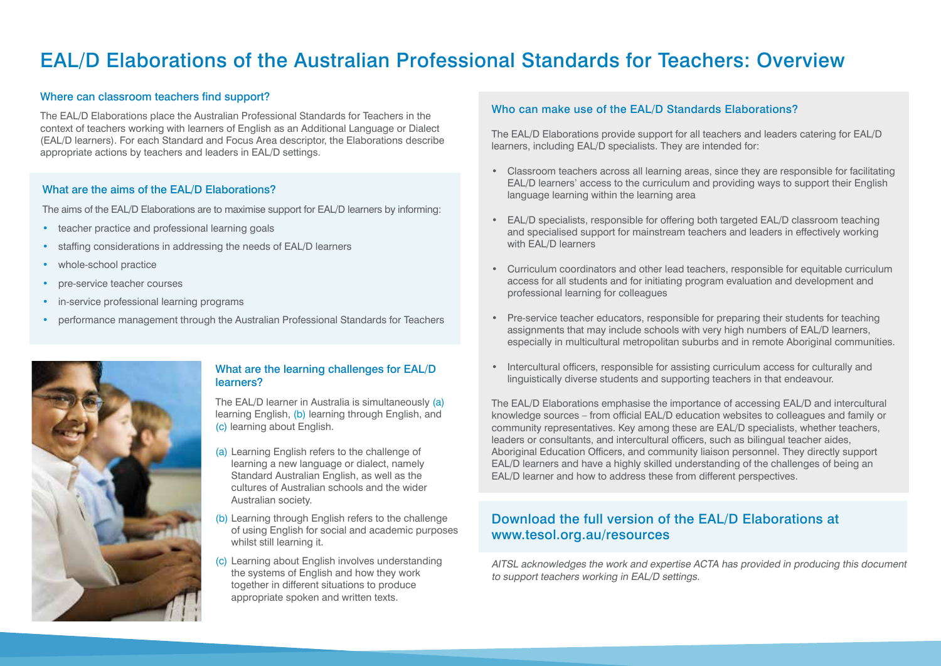# EAL/D Elaborations of the Australian Professional Standards for Teachers: Overview

## Where can classroom teachers find support?

The EAL/D Elaborations place the Australian Professional Standards for Teachers in the context of teachers working with learners of English as an Additional Language or Dialect (EAL/D learners). For each Standard and Focus Area descriptor, the Elaborations describe appropriate actions by teachers and leaders in EAL/D settings.

### What are the aims of the EAL/D Elaborations?

The aims of the EAL/D Elaborations are to maximise support for EAL/D learners by informing:

- teacher practice and professional learning goals
- staffing considerations in addressing the needs of EAL/D learners
- whole-school practice
- pre-service teacher courses
- in-service professional learning programs
- performance management through the Australian Professional Standards for Teachers



#### What are the learning challenges for EAL/D learners?

The EAL/D learner in Australia is simultaneously (a) learning English, (b) learning through English, and (c) learning about English.

- (a) Learning English refers to the challenge of learning a new language or dialect, namely Standard Australian English, as well as the cultures of Australian schools and the wider Australian society.
- (b) Learning through English refers to the challenge of using English for social and academic purposes whilst still learning it.
- (c) Learning about English involves understanding the systems of English and how they work together in different situations to produce appropriate spoken and written texts.

#### Who can make use of the EAL/D Standards Elaborations?

The EAL/D Elaborations provide support for all teachers and leaders catering for EAL/D learners, including EAL/D specialists. They are intended for:

- Classroom teachers across all learning areas, since they are responsible for facilitating EAL/D learners' access to the curriculum and providing ways to support their English language learning within the learning area
- EAL/D specialists, responsible for offering both targeted EAL/D classroom teaching and specialised support for mainstream teachers and leaders in effectively working with EAL/D learners
- Curriculum coordinators and other lead teachers, responsible for equitable curriculum access for all students and for initiating program evaluation and development and professional learning for colleagues
- Pre-service teacher educators, responsible for preparing their students for teaching assignments that may include schools with very high numbers of EAL/D learners, especially in multicultural metropolitan suburbs and in remote Aboriginal communities.
- • Intercultural officers, responsible for assisting curriculum access for culturally and linguistically diverse students and supporting teachers in that endeavour.

The EAL/D Elaborations emphasise the importance of accessing EAL/D and intercultural knowledge sources – from official EAL/D education websites to colleagues and family or community representatives. Key among these are EAL/D specialists, whether teachers, leaders or consultants, and intercultural officers, such as bilingual teacher aides, Aboriginal Education Officers, and community liaison personnel. They directly support EAL/D learners and have a highly skilled understanding of the challenges of being an EAL/D learner and how to address these from different perspectives.

# Download the full version of the EAL/D Elaborations at www.tesol.org.au/resources

AITSL acknowledges the work and expertise ACTA has provided in producing this document to support teachers working in EAL/D settings.